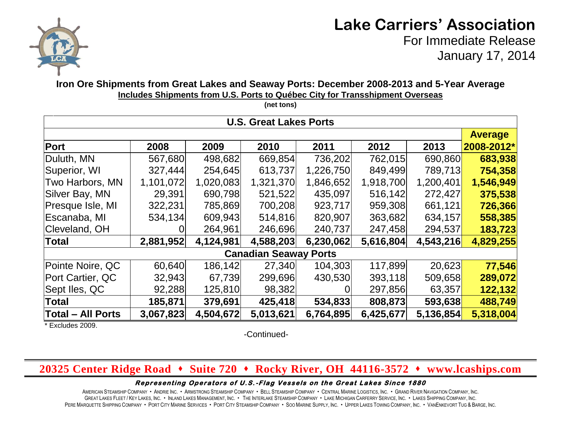

# **Lake Carriers' Association**

For Immediate Release January 17, 2014

## **Iron Ore Shipments from Great Lakes and Seaway Ports: December 2008-2013 and 5-Year Average Includes Shipments from U.S. Ports to Québec City for Transshipment Overseas**

| <b>U.S. Great Lakes Ports</b> |           |           |           |           |           |           |            |  |  |  |
|-------------------------------|-----------|-----------|-----------|-----------|-----------|-----------|------------|--|--|--|
|                               |           |           |           |           |           |           |            |  |  |  |
| Port                          | 2008      | 2009      | 2010      | 2011      | 2012      | 2013      | 2008-2012* |  |  |  |
| Duluth, MN                    | 567,680   | 498,682   | 669,854   | 736,202   | 762,015   | 690,860   | 683,938    |  |  |  |
| Superior, WI                  | 327,444   | 254,645   | 613,737   | 1,226,750 | 849,499   | 789,713   | 754,358    |  |  |  |
| Two Harbors, MN               | 1,101,072 | 1,020,083 | 1,321,370 | 1,846,652 | 1,918,700 | 1,200,401 | 1,546,949  |  |  |  |
| Silver Bay, MN                | 29,391    | 690,798   | 521,522   | 435,097   | 516,142   | 272,427   | 375,538    |  |  |  |
| Presque Isle, MI              | 322,231   | 785,869   | 700,208   | 923,717   | 959,308   | 661,121   | 726,366    |  |  |  |
| Escanaba, MI                  | 534,134   | 609,943   | 514,816   | 820,907   | 363,682   | 634,157   | 558,385    |  |  |  |
| Cleveland, OH                 |           | 264,961   | 246,696   | 240,737   | 247,458   | 294,537   | 183,723    |  |  |  |
| <b>Total</b>                  | 2,881,952 | 4,124,981 | 4,588,203 | 6,230,062 | 5,616,804 | 4,543,216 | 4,829,255  |  |  |  |
| <b>Canadian Seaway Ports</b>  |           |           |           |           |           |           |            |  |  |  |
| Pointe Noire, QC              | 60,640    | 186,142   | 27,340    | 104,303   | 117,899   | 20,623    | 77,546     |  |  |  |
| Port Cartier, QC              | 32,943    | 67,739    | 299,696   | 430,530   | 393,118   | 509,658   | 289,072    |  |  |  |
| Sept Iles, QC                 | 92,288    | 125,810   | 98,382    |           | 297,856   | 63,357    | 122,132    |  |  |  |
| <b>Total</b>                  | 185,871   | 379,691   | 425,418   | 534,833   | 808,873   | 593,638   | 488,749    |  |  |  |
| <b>Total - All Ports</b>      | 3,067,823 | 4,504,672 | 5,013,621 | 6,764,895 | 6,425,677 | 5,136,854 | 5,318,004  |  |  |  |

\* Excludes 2009.

-Continued-

# **20325 Center Ridge Road Suite 720 Rocky River, OH 44116-3572 www.lcaships.com**

#### Representing Operators of U.S.-Flag Vessels on the Great Lakes Since 1880

AMERICAN STEAMSHIP COMPANY . ANDRIE INC. . ARMSTRONG STEAMSHIP COMPANY . BELL STEAMSHIP COMPANY . CENTRAL MARINE LOGISTICS. INC. . GRAND RIVER NAVIGATION COMPANY, INC. GREAT LAKES FLEET / KEY LAKES, INC. . INLAND LAKES MANAGEMENT, INC. . THE INTERLAKE STEAMSHIP COMPANY . LAKE MICHIGAN CARFERRY SERVICE, INC. . LAKES SHIPPING COMPANY, INC. PERE MARQUETTE SHIPPING COMPANY · PORT CITY MARINE SERVICES · PORT CITY STEAMSHIP COMPANY · SOO MARINE SUPPLY, INC. · UPPER LAKES TOWING COMPANY, INC. · VANENKEVORT TUG & BARGE, INC.

**(net tons)**